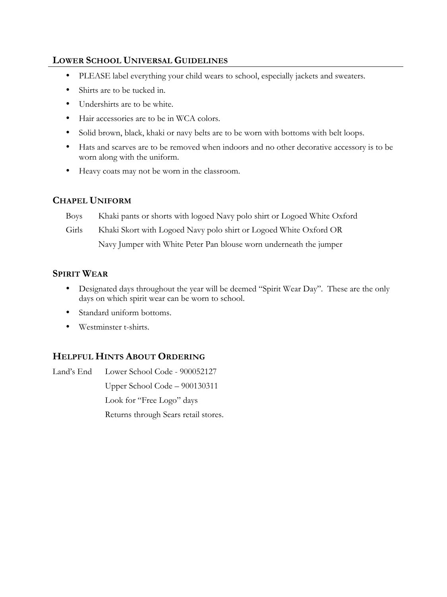## **LOWER SCHOOL UNIVERSAL GUIDELINES**

- PLEASE label everything your child wears to school, especially jackets and sweaters.
- Shirts are to be tucked in.
- Undershirts are to be white.
- Hair accessories are to be in WCA colors.
- Solid brown, black, khaki or navy belts are to be worn with bottoms with belt loops.
- Hats and scarves are to be removed when indoors and no other decorative accessory is to be worn along with the uniform.
- Heavy coats may not be worn in the classroom.

## **CHAPEL UNIFORM**

Boys Khaki pants or shorts with logoed Navy polo shirt or Logoed White Oxford

Girls Khaki Skort with Logoed Navy polo shirt or Logoed White Oxford OR

Navy Jumper with White Peter Pan blouse worn underneath the jumper

## **SPIRIT WEAR**

- Designated days throughout the year will be deemed "Spirit Wear Day". These are the only days on which spirit wear can be worn to school.
- Standard uniform bottoms.
- Westminster t-shirts.

## **HELPFUL HINTS ABOUT ORDERING**

Land's End Lower School Code - 900052127 Upper School Code – 900130311 Look for "Free Logo" days Returns through Sears retail stores.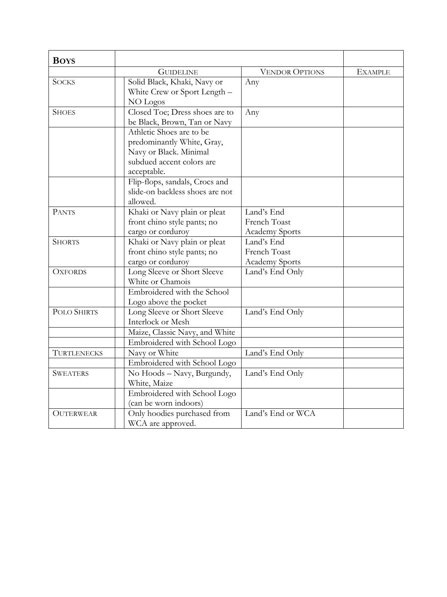| <b>BOYS</b>        |                                 |                       |                |
|--------------------|---------------------------------|-----------------------|----------------|
|                    | <b>GUIDELINE</b>                | <b>VENDOR OPTIONS</b> | <b>EXAMPLE</b> |
| <b>SOCKS</b>       | Solid Black, Khaki, Navy or     | Any                   |                |
|                    | White Crew or Sport Length -    |                       |                |
|                    | NO Logos                        |                       |                |
| <b>SHOES</b>       | Closed Toe; Dress shoes are to  | Any                   |                |
|                    | be Black, Brown, Tan or Navy    |                       |                |
|                    | Athletic Shoes are to be        |                       |                |
|                    | predominantly White, Gray,      |                       |                |
|                    | Navy or Black. Minimal          |                       |                |
|                    | subdued accent colors are       |                       |                |
|                    | acceptable.                     |                       |                |
|                    | Flip-flops, sandals, Crocs and  |                       |                |
|                    | slide-on backless shoes are not |                       |                |
|                    | allowed.                        |                       |                |
| <b>PANTS</b>       | Khaki or Navy plain or pleat    | Land's End            |                |
|                    | front chino style pants; no     | French Toast          |                |
|                    | cargo or corduroy               | <b>Academy Sports</b> |                |
| <b>SHORTS</b>      | Khaki or Navy plain or pleat    | Land's End            |                |
|                    | front chino style pants; no     | French Toast          |                |
|                    | cargo or corduroy               | Academy Sports        |                |
| <b>OXFORDS</b>     | Long Sleeve or Short Sleeve     | Land's End Only       |                |
|                    | White or Chamois                |                       |                |
|                    | Embroidered with the School     |                       |                |
|                    | Logo above the pocket           |                       |                |
| <b>POLO SHIRTS</b> | Long Sleeve or Short Sleeve     | Land's End Only       |                |
|                    | Interlock or Mesh               |                       |                |
|                    | Maize, Classic Navy, and White  |                       |                |
|                    | Embroidered with School Logo    |                       |                |
| <b>TURTLENECKS</b> | Navy or White                   | Land's End Only       |                |
|                    | Embroidered with School Logo    |                       |                |
| <b>SWEATERS</b>    | No Hoods - Navy, Burgundy,      | Land's End Only       |                |
|                    | White, Maize                    |                       |                |
|                    | Embroidered with School Logo    |                       |                |
|                    | (can be worn indoors)           |                       |                |
| <b>OUTERWEAR</b>   | Only hoodies purchased from     | Land's End or WCA     |                |
|                    | WCA are approved.               |                       |                |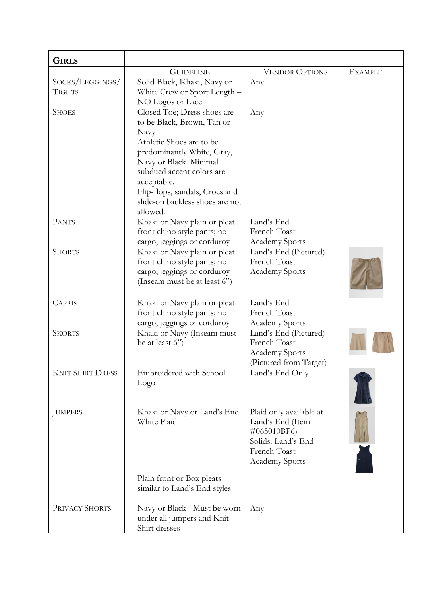| <b>GIRLS</b>                     |                                                                                                                              |                                                                                                                    |                |
|----------------------------------|------------------------------------------------------------------------------------------------------------------------------|--------------------------------------------------------------------------------------------------------------------|----------------|
|                                  | <b>GUIDELINE</b>                                                                                                             | <b>VENDOR OPTIONS</b>                                                                                              | <b>EXAMPLE</b> |
| SOCKS/LEGGINGS/<br><b>TIGHTS</b> | Solid Black, Khaki, Navy or<br>White Crew or Sport Length -<br>NO Logos or Lace                                              | Any                                                                                                                |                |
| <b>SHOES</b>                     | Closed Toe; Dress shoes are<br>to be Black, Brown, Tan or<br>Navy                                                            | Any                                                                                                                |                |
|                                  | Athletic Shoes are to be<br>predominantly White, Gray,<br>Navy or Black. Minimal<br>subdued accent colors are<br>acceptable. |                                                                                                                    |                |
|                                  | Flip-flops, sandals, Crocs and<br>slide-on backless shoes are not<br>allowed.                                                |                                                                                                                    |                |
| <b>PANTS</b>                     | Khaki or Navy plain or pleat<br>front chino style pants; no<br>cargo, jeggings or corduroy                                   | Land's End<br>French Toast<br><b>Academy Sports</b>                                                                |                |
| <b>SHORTS</b>                    | Khaki or Navy plain or pleat<br>front chino style pants; no<br>cargo, jeggings or corduroy<br>(Inseam must be at least 6")   | Land's End (Pictured)<br>French Toast<br>Academy Sports                                                            |                |
| <b>CAPRIS</b>                    | Khaki or Navy plain or pleat<br>front chino style pants; no<br>cargo, jeggings or corduroy                                   | Land's End<br>French Toast<br>Academy Sports                                                                       |                |
| <b>SKORTS</b>                    | Khaki or Navy (Inseam must<br>be at least 6")                                                                                | Land's End (Pictured)<br>French Toast<br>Academy Sports<br>(Pictured from Target)                                  |                |
| <b>KNIT SHIRT DRESS</b>          | Embroidered with School<br>Logo                                                                                              | Land's End Only                                                                                                    |                |
| <b>JUMPERS</b>                   | Khaki or Navy or Land's End<br>White Plaid                                                                                   | Plaid only available at<br>Land's End (Item<br>#065010BP6)<br>Solids: Land's End<br>French Toast<br>Academy Sports |                |
|                                  | Plain front or Box pleats<br>similar to Land's End styles                                                                    |                                                                                                                    |                |
| PRIVACY SHORTS                   | Navy or Black - Must be worn<br>under all jumpers and Knit<br>Shirt dresses                                                  | Any                                                                                                                |                |